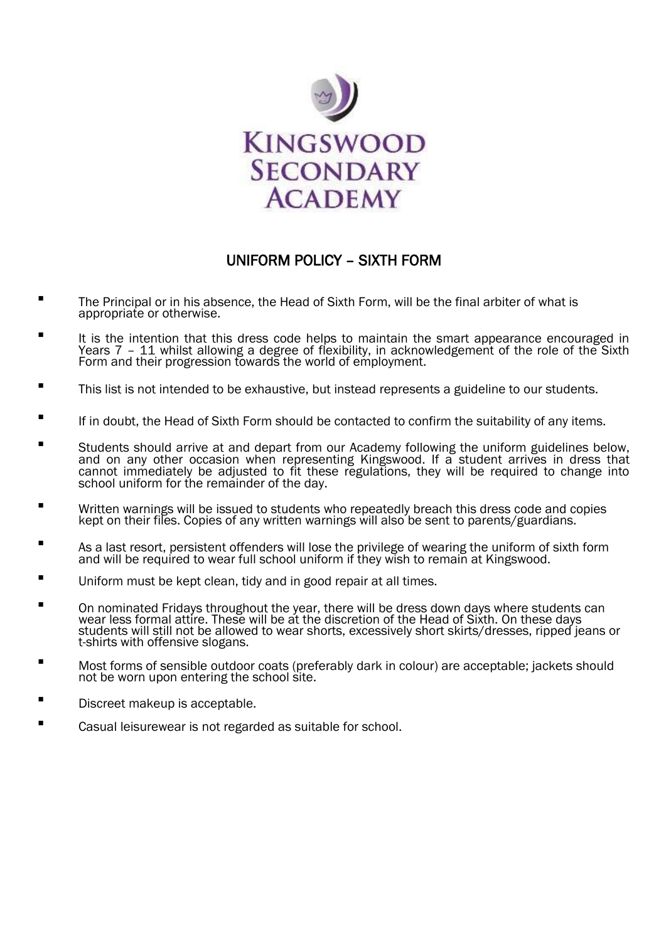

## UNIFORM POLICY – SIXTH FORM

- Ξ The Principal or in his absence, the Head of Sixth Form, will be the final arbiter of what is appropriate or otherwise.
- Ξ It is the intention that this dress code helps to maintain the smart appearance encouraged in Years 7 – 11 whilst allowing a degree of flexibility, in acknowledgement of the role of the Sixth Form and their progression towards the world of employment.
- Ξ This list is not intended to be exhaustive, but instead represents a guideline to our students.
- Ξ If in doubt, the Head of Sixth Form should be contacted to confirm the suitability of any items.
- Students should arrive at and depart from our Academy following the uniform guidelines below, and on any other occasion when representing Kingswood. If a student arrives in dress that cannot immediately be adjusted to fit these regulations, they will be required to change into school uniform for the remainder of the day.
- Written warnings will be issued to students who repeatedly breach this dress code and copies kept on their files. Copies of any written warnings will also be sent to parents/guardians.
- **As a last resort, persistent offenders will lose the privilege of wearing the uniform of sixth form** and will be required to wear full school uniform if they wish to remain at Kingswood.
- Uniform must be kept clean, tidy and in good repair at all times.
- **The Student Confortable Tridays throughout the year, there will be dress down days where students can** wear less formal attire. These will be at the discretion of the Head of Sixth. On these days students will still not be allowed to wear shorts, excessively short skirts/dresses, ripped jeans or t-shirts with offensive slogans.
- Most forms of sensible outdoor coats (preferably dark in colour) are acceptable; jackets should not be worn upon entering the school site.
- Discreet makeup is acceptable.
- Casual leisurewear is not regarded as suitable for school.